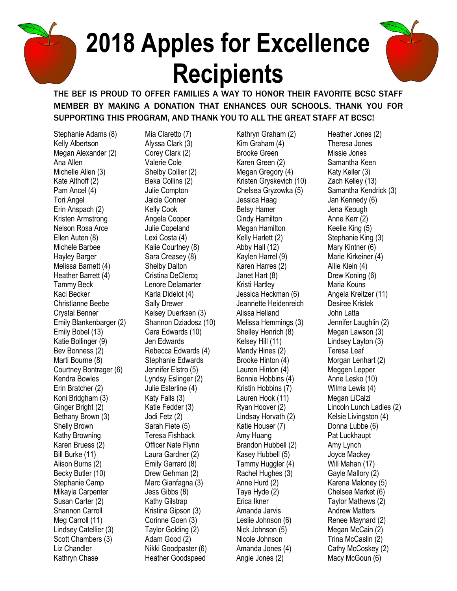## **2018 Apples for Excellence Recipients**



THE BEF IS PROUD TO OFFER FAMILIES A WAY TO HONOR THEIR FAVORITE BCSC STAFF MEMBER BY MAKING A DONATION THAT ENHANCES OUR SCHOOLS. THANK YOU FOR SUPPORTING THIS PROGRAM, AND THANK YOU TO ALL THE GREAT STAFF AT BCSC!

Stephanie Adams (8) Kelly Albertson Megan Alexander (2) Ana Allen Michelle Allen (3) Kate Althoff (2) Pam Ancel (4) Tori Angel Erin Anspach (2) Kristen Armstrong Nelson Rosa Arce Ellen Auten (8) Michele Barbee Hayley Barger Melissa Barnett (4) Heather Barrett (4) Tammy Beck Kaci Becker Christianne Beebe Crystal Benner Emily Blankenbarger (2) Emily Bobel (13) Katie Bollinger (9) Bev Bonness (2) Marti Bourne (8) Courtney Bontrager (6) Kendra Bowles Erin Bratcher (2) Koni Bridgham (3) Ginger Bright (2) Bethany Brown (3) Shelly Brown Kathy Browning Karen Bruess (2) Bill Burke (11) Alison Burns (2) Becky Butler (10) Stephanie Camp Mikayla Carpenter Susan Carter (2) Shannon Carroll Meg Carroll (11) Lindsey Catellier (3) Scott Chambers (3) Liz Chandler Kathryn Chase

Mia Claretto (7) Alyssa Clark (3) Corey Clark (2) Valerie Cole Shelby Collier (2) Beka Collins (2) Julie Compton Jaicie Conner Kelly Cook Angela Cooper Julie Copeland Lexi Costa (4) Kalie Courtney (8) Sara Creasey (8) Shelby Dalton Cristina DeClercq Lenore Delamarter Karla Didelot (4) Sally Drewer Kelsey Duerksen (3) Shannon Dziadosz (10) Cara Edwards (10) Jen Edwards Rebecca Edwards (4) Stephanie Edwards Jennifer Elstro (5) Lyndsy Eslinger (2) Julie Esterline (4) Katy Falls (3) Katie Fedder (3) Jodi Fetz (2) Sarah Fiete (5) Teresa Fishback Officer Nate Flynn Laura Gardner (2) Emily Garrard (8) Drew Gehman (2) Marc Gianfagna (3) Jess Gibbs (8) Kathy Gilstrap Kristina Gipson (3) Corinne Goen (3) Taylor Golding (2) Adam Good (2) Nikki Goodpaster (6) Heather Goodspeed

Kathryn Graham (2) Kim Graham (4) Brooke Green Karen Green (2) Megan Gregory (4) Kristen Gryskevich (10) Chelsea Gryzowka (5) Jessica Haag Betsy Hamer Cindy Hamilton Megan Hamilton Kelly Harlett (2) Abby Hall (12) Kaylen Harrel (9) Karen Harres (2) Janet Hart (8) Kristi Hartley Jessica Heckman (6) Jeannette Heidenreich Alissa Helland Melissa Hemmings (3) Shelley Henrich (8) Kelsey Hill (11) Mandy Hines (2) Brooke Hinton (4) Lauren Hinton (4) Bonnie Hobbins (4) Kristin Hobbins (7) Lauren Hook (11) Ryan Hoover (2) Lindsay Horvath (2) Katie Houser (7) Amy Huang Brandon Hubbell (2) Kasey Hubbell (5) Tammy Huggler (4) Rachel Hughes (3) Anne Hurd (2) Taya Hyde (2) Erica Ikner Amanda Jarvis Leslie Johnson (6) Nick Johnson (5) Nicole Johnson Amanda Jones (4) Angie Jones (2)

Heather Jones (2) Theresa Jones Missie Jones Samantha Keen Katy Keller (3) Zach Kelley (13) Samantha Kendrick (3) Jan Kennedy (6) Jena Keough Anne Kerr (2) Keelie King (5) Stephanie King (3) Mary Kintner (6) Marie Kirkeiner (4) Allie Klein (4) Drew Koning (6) Maria Kouns Angela Kreitzer (11) Desiree Kristek John Latta Jennifer Laughlin (2) Megan Lawson (3) Lindsey Layton (3) Teresa Leaf Morgan Lenhart (2) Meggen Lepper Anne Lesko (10) Wilma Lewis (4) Megan LiCalzi Lincoln Lunch Ladies (2) Kelsie Livingston (4) Donna Lubbe (6) Pat Luckhaupt Amy Lynch Joyce Mackey Will Mahan (17) Gayle Mallory (2) Karena Maloney (5) Chelsea Market (6) Taylor Mathews (2) Andrew Matters Renee Maynard (2) Megan McCain (2) Trina McCaslin (2) Cathy McCoskey (2) Macy McGoun (6)